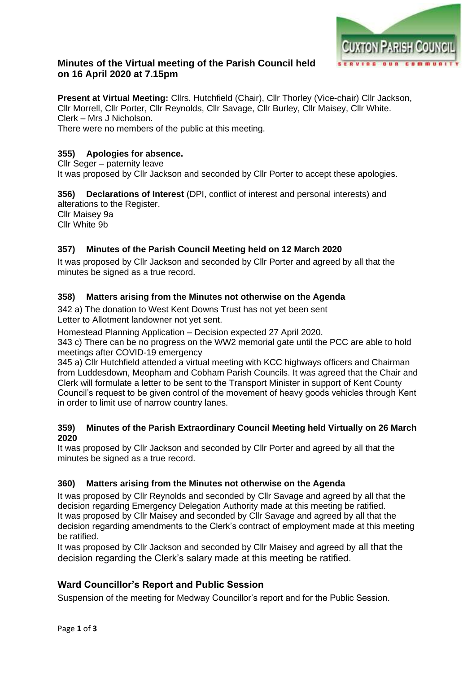

# **Minutes of the Virtual meeting of the Parish Council held on 16 April 2020 at 7.15pm**

**Present at Virtual Meeting:** Cllrs. Hutchfield (Chair), Cllr Thorley (Vice-chair) Cllr Jackson, Cllr Morrell, Cllr Porter, Cllr Reynolds, Cllr Savage, Cllr Burley, Cllr Maisey, Cllr White. Clerk – Mrs J Nicholson.

There were no members of the public at this meeting.

### **355) Apologies for absence.**

Cllr Seger – paternity leave

It was proposed by Cllr Jackson and seconded by Cllr Porter to accept these apologies.

#### **356) Declarations of Interest** (DPI, conflict of interest and personal interests) and alterations to the Register.

Cllr Maisey 9a Cllr White 9b

## **357) Minutes of the Parish Council Meeting held on 12 March 2020**

It was proposed by Cllr Jackson and seconded by Cllr Porter and agreed by all that the minutes be signed as a true record.

### **358) Matters arising from the Minutes not otherwise on the Agenda**

342 a) The donation to West Kent Downs Trust has not yet been sent Letter to Allotment landowner not yet sent.

Homestead Planning Application – Decision expected 27 April 2020.

343 c) There can be no progress on the WW2 memorial gate until the PCC are able to hold meetings after COVID-19 emergency

345 a) Cllr Hutchfield attended a virtual meeting with KCC highways officers and Chairman from Luddesdown, Meopham and Cobham Parish Councils. It was agreed that the Chair and Clerk will formulate a letter to be sent to the Transport Minister in support of Kent County Council's request to be given control of the movement of heavy goods vehicles through Kent in order to limit use of narrow country lanes.

#### **359) Minutes of the Parish Extraordinary Council Meeting held Virtually on 26 March 2020**

It was proposed by Cllr Jackson and seconded by Cllr Porter and agreed by all that the minutes be signed as a true record.

#### **360) Matters arising from the Minutes not otherwise on the Agenda**

It was proposed by Cllr Reynolds and seconded by Cllr Savage and agreed by all that the decision regarding Emergency Delegation Authority made at this meeting be ratified. It was proposed by Cllr Maisey and seconded by Cllr Savage and agreed by all that the decision regarding amendments to the Clerk's contract of employment made at this meeting be ratified.

It was proposed by Cllr Jackson and seconded by Cllr Maisey and agreed by all that the decision regarding the Clerk's salary made at this meeting be ratified.

## **Ward Councillor's Report and Public Session**

Suspension of the meeting for Medway Councillor's report and for the Public Session.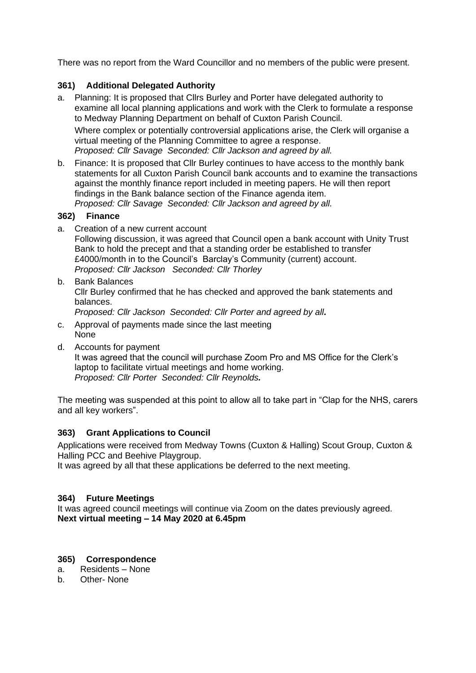There was no report from the Ward Councillor and no members of the public were present.

### **361) Additional Delegated Authority**

a. Planning: It is proposed that Cllrs Burley and Porter have delegated authority to examine all local planning applications and work with the Clerk to formulate a response to Medway Planning Department on behalf of Cuxton Parish Council.

Where complex or potentially controversial applications arise, the Clerk will organise a virtual meeting of the Planning Committee to agree a response.

*Proposed: Cllr Savage Seconded: Cllr Jackson and agreed by all.*

b. Finance: It is proposed that Cllr Burley continues to have access to the monthly bank statements for all Cuxton Parish Council bank accounts and to examine the transactions against the monthly finance report included in meeting papers. He will then report findings in the Bank balance section of the Finance agenda item. *Proposed: Cllr Savage Seconded: Cllr Jackson and agreed by all.*

### **362) Finance**

- a. Creation of a new current account Following discussion, it was agreed that Council open a bank account with Unity Trust Bank to hold the precept and that a standing order be established to transfer £4000/month in to the Council's Barclay's Community (current) account. *Proposed: Cllr Jackson Seconded: Cllr Thorley*
- b. Bank Balances Cllr Burley confirmed that he has checked and approved the bank statements and balances. *Proposed: Cllr Jackson Seconded: Cllr Porter and agreed by all.*
- c. Approval of payments made since the last meeting None
- d. Accounts for payment

It was agreed that the council will purchase Zoom Pro and MS Office for the Clerk's laptop to facilitate virtual meetings and home working. *Proposed: Cllr Porter Seconded: Cllr Reynolds.*

The meeting was suspended at this point to allow all to take part in "Clap for the NHS, carers and all key workers".

## **363) Grant Applications to Council**

Applications were received from Medway Towns (Cuxton & Halling) Scout Group, Cuxton & Halling PCC and Beehive Playgroup.

It was agreed by all that these applications be deferred to the next meeting.

## **364) Future Meetings**

It was agreed council meetings will continue via Zoom on the dates previously agreed. **Next virtual meeting – 14 May 2020 at 6.45pm**

#### **365) Correspondence**

- a. Residents None
- b. Other- None